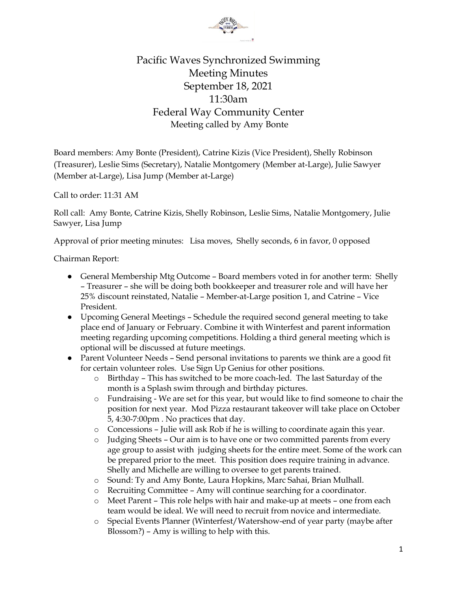

## Pacific Waves Synchronized Swimming Meeting Minutes September 18, 2021 11:30am Federal Way Community Center Meeting called by Amy Bonte

Board members: Amy Bonte (President), Catrine Kizis (Vice President), Shelly Robinson (Treasurer), Leslie Sims (Secretary), Natalie Montgomery (Member at-Large), Julie Sawyer (Member at-Large), Lisa Jump (Member at-Large)

Call to order: 11:31 AM

Roll call: Amy Bonte, Catrine Kizis, Shelly Robinson, Leslie Sims, Natalie Montgomery, Julie Sawyer, Lisa Jump

Approval of prior meeting minutes: Lisa moves, Shelly seconds, 6 in favor, 0 opposed

Chairman Report:

- General Membership Mtg Outcome Board members voted in for another term: Shelly – Treasurer – she will be doing both bookkeeper and treasurer role and will have her 25% discount reinstated, Natalie – Member-at-Large position 1, and Catrine – Vice President.
- Upcoming General Meetings Schedule the required second general meeting to take place end of January or February. Combine it with Winterfest and parent information meeting regarding upcoming competitions. Holding a third general meeting which is optional will be discussed at future meetings.
- Parent Volunteer Needs Send personal invitations to parents we think are a good fit for certain volunteer roles. Use Sign Up Genius for other positions.
	- o Birthday This has switched to be more coach-led. The last Saturday of the month is a Splash swim through and birthday pictures.
	- o Fundraising We are set for this year, but would like to find someone to chair the position for next year. Mod Pizza restaurant takeover will take place on October 5, 4:30-7:00pm . No practices that day.
	- o Concessions Julie will ask Rob if he is willing to coordinate again this year.
	- o Judging Sheets Our aim is to have one or two committed parents from every age group to assist with judging sheets for the entire meet. Some of the work can be prepared prior to the meet. This position does require training in advance. Shelly and Michelle are willing to oversee to get parents trained.
	- o Sound: Ty and Amy Bonte, Laura Hopkins, Marc Sahai, Brian Mulhall.
	- o Recruiting Committee Amy will continue searching for a coordinator.
	- o Meet Parent This role helps with hair and make-up at meets one from each team would be ideal. We will need to recruit from novice and intermediate.
	- o Special Events Planner (Winterfest/Watershow-end of year party (maybe after Blossom?) – Amy is willing to help with this.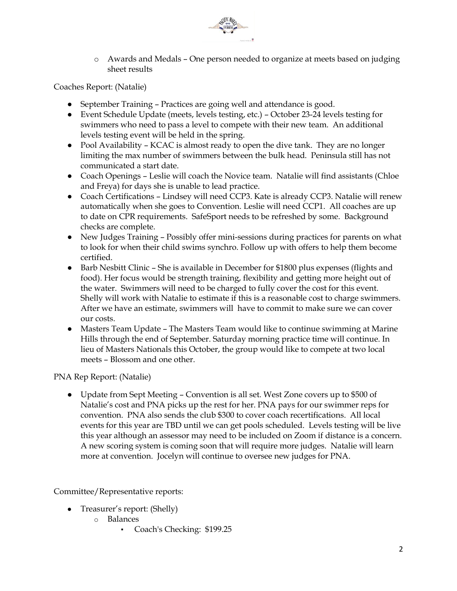

o Awards and Medals – One person needed to organize at meets based on judging sheet results

Coaches Report: (Natalie)

- September Training Practices are going well and attendance is good.
- Event Schedule Update (meets, levels testing, etc.) October 23-24 levels testing for swimmers who need to pass a level to compete with their new team. An additional levels testing event will be held in the spring.
- Pool Availability KCAC is almost ready to open the dive tank. They are no longer limiting the max number of swimmers between the bulk head. Peninsula still has not communicated a start date.
- Coach Openings Leslie will coach the Novice team. Natalie will find assistants (Chloe and Freya) for days she is unable to lead practice.
- Coach Certifications Lindsey will need CCP3. Kate is already CCP3. Natalie will renew automatically when she goes to Convention. Leslie will need CCP1. All coaches are up to date on CPR requirements. SafeSport needs to be refreshed by some. Background checks are complete.
- New Judges Training Possibly offer mini-sessions during practices for parents on what to look for when their child swims synchro. Follow up with offers to help them become certified.
- Barb Nesbitt Clinic She is available in December for \$1800 plus expenses (flights and food). Her focus would be strength training, flexibility and getting more height out of the water. Swimmers will need to be charged to fully cover the cost for this event. Shelly will work with Natalie to estimate if this is a reasonable cost to charge swimmers. After we have an estimate, swimmers will have to commit to make sure we can cover our costs.
- Masters Team Update The Masters Team would like to continue swimming at Marine Hills through the end of September. Saturday morning practice time will continue. In lieu of Masters Nationals this October, the group would like to compete at two local meets – Blossom and one other.

PNA Rep Report: (Natalie)

● Update from Sept Meeting – Convention is all set. West Zone covers up to \$500 of Natalie's cost and PNA picks up the rest for her. PNA pays for our swimmer reps for convention. PNA also sends the club \$300 to cover coach recertifications. All local events for this year are TBD until we can get pools scheduled. Levels testing will be live this year although an assessor may need to be included on Zoom if distance is a concern. A new scoring system is coming soon that will require more judges. Natalie will learn more at convention. Jocelyn will continue to oversee new judges for PNA.

Committee/Representative reports:

- Treasurer's report: (Shelly)
	- o Balances
		- Coach's Checking: \$199.25